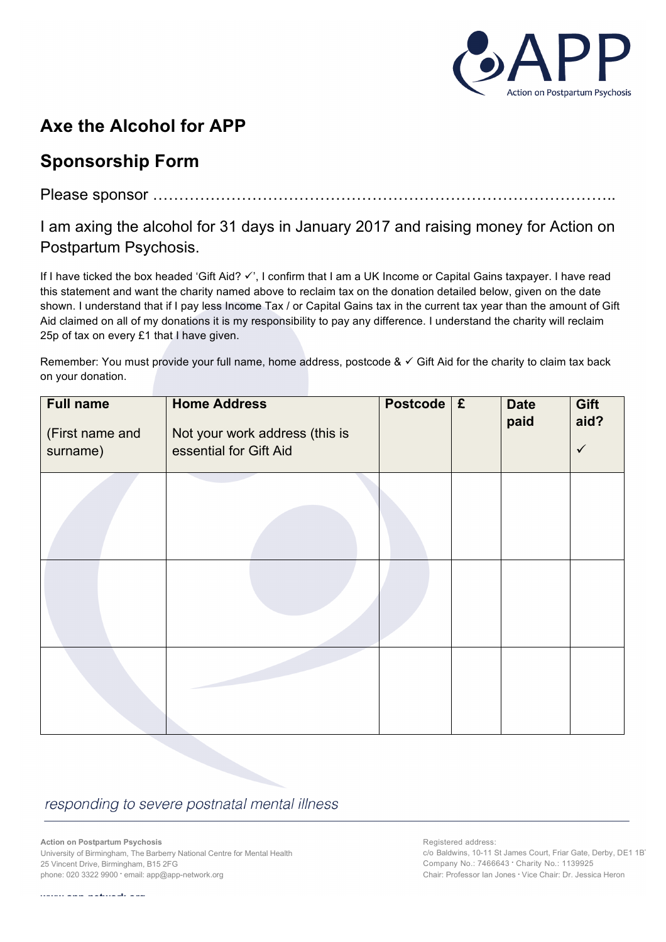

## **Axe the Alcohol for APP**

## **Sponsorship Form**

Please sponsor ……………………………………………………………………………..

I am axing the alcohol for 31 days in January 2017 and raising money for Action on Postpartum Psychosis.

If I have ticked the box headed 'Gift Aid? √', I confirm that I am a UK Income or Capital Gains taxpayer. I have read this statement and want the charity named above to reclaim tax on the donation detailed below, given on the date shown. I understand that if I pay less Income Tax / or Capital Gains tax in the current tax year than the amount of Gift Aid claimed on all of my donations it is my responsibility to pay any difference. I understand the charity will reclaim 25p of tax on every £1 that I have given.

Remember: You must provide your full name, home address, postcode  $\& \checkmark$  Gift Aid for the charity to claim tax back on your donation.

| <b>Full name</b><br>(First name and<br>surname) | <b>Home Address</b><br>Not your work address (this is<br>essential for Gift Aid | <b>Postcode</b> | $\mathbf{f}$ | <b>Date</b><br>paid | Gift<br>aid?<br>$\checkmark$ |
|-------------------------------------------------|---------------------------------------------------------------------------------|-----------------|--------------|---------------------|------------------------------|
|                                                 |                                                                                 |                 |              |                     |                              |
|                                                 |                                                                                 |                 |              |                     |                              |
|                                                 |                                                                                 |                 |              |                     |                              |

## responding to severe postnatal mental illness

**Action on Postpartum Psychosis** University of Birmingham, The Barberry National Centre for Mental Health 25 Vincent Drive, Birmingham, B15 2FG phone: 020 3322 9900 • email: app@app-network.org

Registered address: c/o Baldwins, 10-11 St James Court, Friar Gate, Derby, DE1 1B' Company No.: 7466643 • Charity No.: 1139925 Chair: Professor Ian Jones • Vice Chair: Dr. Jessica Heron